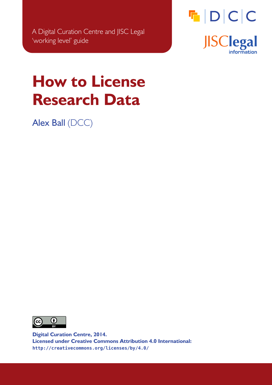

# <span id="page-0-0"></span>**How to License Research Data**

Alex Ball (DCC)



**Digital Curation Centre, 2014. Licensed under Creative Commons Attribution 4.0 International: <http://creativecommons.org/licenses/by/4.0/>**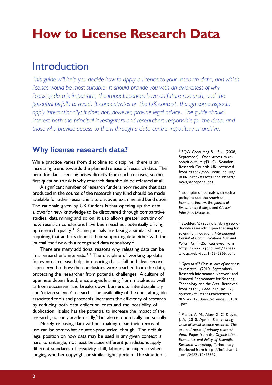## **How to License Research Data**

## Introduction

*This guide will help you decide how to apply a licence to your research data, and which licence would be most suitable. It should provide you with an awareness of why licensing data is important, the impact licences have on future research, and the potential pitfalls to avoid. It concentrates on the UK context, though some aspects apply internationally; it does not, however, provide legal advice. The guide should interest both the principal investigators and researchers responsible for the data, and those who provide access to them through a data centre, repository or archive.*

## **Why license research data?**

While practice varies from discipline to discipline, there is an increasing trend towards the planned release of research data. The need for data licensing arises directly from such releases, so the first question to ask is why research data should be released at all.

A significant number of research funders now require that data produced in the course of the research they fund should be made available for other researchers to discover, examine and build upon. The rationale given by UK funders is that opening up the data allows for new knowledge to be discovered through comparative studies, data mining and so on; it also allows greater scrutiny of how research conclusions have been reached, potentially driving up research quality.<sup>[1](#page-1-0)</sup> Some journals are taking a similar stance, requiring that authors deposit their supporting data either with the journal itself or with a recognised data repository.<sup>[2](#page-1-1)</sup>

There are many additional reasons why releasing data can be in a researcher's interests.<sup>[3,](#page-1-2)[4](#page-1-3)</sup> The discipline of working up data for eventual release helps in ensuring that a full and clear record is preserved of how the conclusions were reached from the data, protecting the researcher from potential challenges. A culture of openness deters fraud, encourages learning from mistakes as well as from successes, and breaks down barriers to interdisciplinary and 'citizen science' research. The availability of the data, alongside associated tools and protocols, increases the efficiency of research by reducing both data collection costs and the possibility of duplication. It also has the potential to increase the impact of the research, not only academically,<sup>[5](#page-1-4)</sup> but also economically and socially.

Merely releasing data without making clear their terms of use can be somewhat counter-productive, though. The default legal position on how data may be used in any given context is hard to untangle, not least because different jurisdictions apply different standards of creativity, skill, labour and expense when judging whether copyright or similar rights pertain. The situation is

<span id="page-1-0"></span>1 SQW Consulting & LISU. (2008, September). *Open access to research outputs* (§3.10). Swindon: Research Councils UK. retrieved from [http://www.rcuk.ac.uk/](http://www.rcuk.ac.uk/RCUK-prod/assets/documents/news/oareport.pdf) [RCUK-prod/assets/documents/](http://www.rcuk.ac.uk/RCUK-prod/assets/documents/news/oareport.pdf) [news/oareport.pdf](http://www.rcuk.ac.uk/RCUK-prod/assets/documents/news/oareport.pdf).

<span id="page-1-1"></span><sup>2</sup> Examples of journals with such a policy include the *American Economic Review*, the *Journal of Evolutionary Biology*, and *Clinical Infectious Diseases*.

<span id="page-1-2"></span><sup>3</sup> Stodden, V. (2009). Enabling reproducible research: Open licensing for scientific innovation. *International Journal of Communications Law and Policy*, *13*, 1–25. Retrieved from [http://www.ijclp.net/files/](http://www.ijclp.net/files/ijclp_web-doc_1-13-2009.pdf) [ijclp\\_web-doc\\_1-13-2009.pdf](http://www.ijclp.net/files/ijclp_web-doc_1-13-2009.pdf).

<span id="page-1-3"></span><sup>4</sup> *Open to all? Case studies of openness in research*. (2010, September). Research Information Network and National Endowment for Science, Technology and the Arts. Retrieved from [http://www .rin .ac .uk/](http://www.rin.ac.uk/system/files/attachments/NESTA-RIN_Open_Science_V01_0.pdf) [system/files/attachments/](http://www.rin.ac.uk/system/files/attachments/NESTA-RIN_Open_Science_V01_0.pdf) [NESTA-RIN\\_Open\\_Science\\_V01\\_0](http://www.rin.ac.uk/system/files/attachments/NESTA-RIN_Open_Science_V01_0.pdf) [.pdf](http://www.rin.ac.uk/system/files/attachments/NESTA-RIN_Open_Science_V01_0.pdf).

<span id="page-1-4"></span><sup>5</sup> Pienta, A. M., Alter, G. C. & Lyle, J. A. (2010, April). *The enduring value of social science research: The use and reuse of primary research data*. Paper from the *Organisation, Economics and Policy of Scientific Research* workshop, Torino, Italy. Retrieved from [http://hdl.handle](http://hdl.handle.net/2027.42/78307) [.net/2027.42/78307](http://hdl.handle.net/2027.42/78307).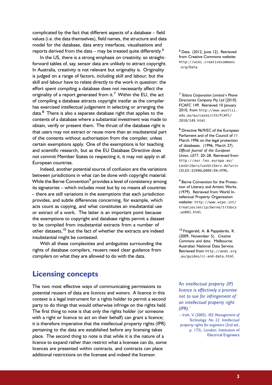complicated by the fact that different aspects of a database – field values (i.e. the data themselves), field names, the structure and data model for the database, data entry interfaces, visualisations and reports derived from the data – may be treated quite differently. $6$ 

In the US, there is a strong emphasis on creativity, so straightforward tables of, say, sensor data are unlikely to attract copyright. In Australia, creativity is not relevant but originality is. Originality is judged on a range of factors, including skill and labour, but the skill and labour have to relate directly to the work in question: the effort spent compiling a database does not necessarily affect the originality of a report generated from it.<sup>[7](#page-2-1)</sup> Within the EU, the act of compiling a database attracts copyright insofar as the compiler has exercised intellectual judgement in selecting or arranging the data.[8](#page-2-2) There is also a separate database right that applies to the contents of a database where a substantial investment was made to obtain, verify or present them. The thrust of the database right is that users may not extract or reuse more than an insubstantial part of the contents without authorisation from the compiler, unless certain exemptions apply. One of the exemptions is for teaching and scientific research, but as the EU Database Directive does not commit Member States to respecting it, it may not apply in all European countries.

Indeed, another potential source of confusion are the variations between jurisdictions in what can be done with copyright material. While the Berne Convention<sup>[9](#page-2-3)</sup> provides a level of consistency among its signatories – which includes most but by no means all countries – there are still variations in the exemptions that each jurisdiction provides, and subtle differences concerning, for example, which acts count as copying, and what constitutes an insubstantial use or extract of a work. The latter is an important point because the exemptions to copyright and database rights permit a dataset to be compiled from insubstantial extracts from a number of other datasets,<sup>[10](#page-2-4)</sup> but the fact of whether the extracts are indeed insubstantial might be contested.

With all these complexities and ambiguities surrounding the rights of database compilers, reusers need clear guidance from compilers on what they are allowed to do with the data.

## **Licensing concepts**

The two most effective ways of communicating permissions to potential reusers of data are *licences* and *waivers*. A licence in this context is a legal instrument for a rights holder to permit a second party to do things that would otherwise infringe on the rights held. The first thing to note is that only the rights holder (or someone with a right or licence to act on their behalf) can grant a licence; it is therefore imperative that the intellectual property rights (IPR) pertaining to the data are established before any licensing takes place. The second thing to note is that while it is the nature of a licence to expand rather than restrict what a licensee can do, some licences are presented within contracts, and contracts *can* place additional restrictions on the licensee and indeed the licensor.

<span id="page-2-0"></span><sup>6</sup> Data. (2012, June 12). Retrieved from Creative Commons website: [http://wiki.creativecommons](http://wiki.creativecommons.org/Data) [.org/Data](http://wiki.creativecommons.org/Data).

<span id="page-2-1"></span><sup>7</sup> *Telstra Corporation Limited v Phone Directories Company Pty Ltd* [2010] FCAFC 149. Retrieved 10 January 2010, from [http://www.austlii.](http://www.austlii.edu.au/au/cases/cth/FCAFC/2010/149.html) [edu.au/au/cases/cth/FCAFC/](http://www.austlii.edu.au/au/cases/cth/FCAFC/2010/149.html) [2010/149.html](http://www.austlii.edu.au/au/cases/cth/FCAFC/2010/149.html)

<span id="page-2-2"></span><sup>8</sup> Directive 96/9/EC of the European Parliament and of the Council of 11 March 1996 on the legal protection of databases. (1996, March 27). *Official Journal of the European Union*, *L077*, 20–28. Retrieved from [http://eur -lex .europa .eu/](http://eur-lex.europa.eu/LexUriServ/LexUriServ.do?uri=CELEX:31996L0009:EN:HTML) [LexUriServ/LexUriServ.do?uri=](http://eur-lex.europa.eu/LexUriServ/LexUriServ.do?uri=CELEX:31996L0009:EN:HTML) [CELEX:31996L0009:EN:HTML](http://eur-lex.europa.eu/LexUriServ/LexUriServ.do?uri=CELEX:31996L0009:EN:HTML).

<span id="page-2-3"></span><sup>9</sup> Berne Convention for the Protection of Literary and Artistic Works. (1979). Retrieved from World Intellectual Property Organization website: [http://www.wipo.int/](http://www.wipo.int/treaties/en/ip/berne/trtdocs_wo001.html) [treaties/en/ip/berne/trtdocs](http://www.wipo.int/treaties/en/ip/berne/trtdocs_wo001.html)  $_$  $wo001.html$ .

<span id="page-2-4"></span><sup>10</sup> Fitzgerald, A. & Pappalardo, K. (2009, November 5). *Creative Commons and data*. Melbourne: Australian National Data Service. Retrieved from [http://ands.org](http://ands.org.au/guides/cc-and-data.html) [.au/guides/cc-and-data.html](http://ands.org.au/guides/cc-and-data.html).

*'An intellectual property (IP) licence is effectively a promise not to sue for infringement of an intellectual property right (IPR).'*

– Irish, V. (2005). *IEE Management of Technology: No. 22. Intellectual property rights for engineers* (2nd ed., p. 173). London: Institution of Electrical Engineers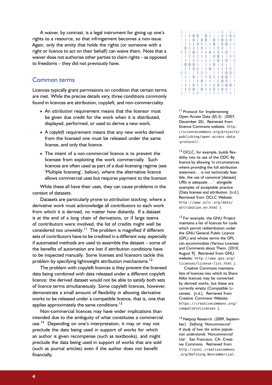A waiver, by contrast, is a legal instrument for giving up one's rights to a resource, so that infringement becomes a non-issue. Again, only the entity that holds the rights (or someone with a right or licence to act on their behalf) can waive them. Note that a waiver does not authorise other parties to claim rights – as opposed to freedoms – they did not previously have.

## Common terms

Licences typically grant permissions on condition that certain terms are met. While the precise details vary, three conditions commonly found in licences are attribution, copyleft, and non-commerciality.

- An *attribution* requirement means that the licensor must be given due credit for the work when it is distributed, displayed, performed, or used to derive a new work.
- A *copyleft* requirement means that any new works derived from the licensed one must be released under the same license, and only that licence.
- The intent of a *non-commercial* licence is to prevent the licensee from exploiting the work commercially. Such licences are often used as part of a dual-licensing regime (see ['Multiple licensing'](#page-9-0), below), where the alternative licence allows commercial uses but requires payment to the licensor.

While these all have their uses, they can cause problems in the context of datasets.

Datasets are particularly prone to *attribution stacking*, where a derivative work must acknowledge all contributors to each work from which it is derived, no matter how distantly. If a dataset is at the end of a long chain of derivations, or if large teams of contributors were involved, the list of credits might well be considered too unwieldy.<sup>[11](#page-3-0)</sup> The problem is magnified if different sets of contributors have to be credited in a different way, especially if automated methods are used to assemble the dataset – some of the benefits of automation are lost if attribution conditions have to be inspected manually. Some licenses and licensors tackle this problem by specifying lightweight attribution mechanisms.<sup>[12](#page-3-1)</sup>

The problem with copyleft licences is they prevent the licensed data being combined with data released under a different copyleft licence: the derived dataset would not be able to satisfy both sets of licence terms simultaneously. Some copyleft licences, however, demonstrate a small amount of flexibility in allowing derivative works to be released under a compatible licence, that is, one that applies approximately the same conditions.<sup>[13](#page-3-2)</sup>

Non-commercial licences may have wider implications than intended due to the ambiguity of what constitutes a commercial use.<sup>[14](#page-3-3)</sup> Depending on one's interpretation, it may or may not preclude the data being used in support of works for which an author is given recompense (such as textbooks), and might preclude the data being used in support of works that are sold (such as journal articles) even if the author does not benefit financially.

| O |   |   |   | I |   | I | I | U            |   | 0 |   | 0 | 0 |
|---|---|---|---|---|---|---|---|--------------|---|---|---|---|---|
|   |   |   | 0 | 0 | ı | 0 | I | T            | I | 0 | I | 0 | 0 |
| I |   |   | 0 | ı | 0 | 0 | I | 0            |   | 0 | 0 | 0 | 0 |
|   |   | 0 | I | 0 | 1 | 0 | I | 0            | I | 0 | 0 | ı | 0 |
|   | 0 | 0 | 0 | I | 0 | I | I | 0            | 0 | 0 | 1 | I | Т |
|   |   | 0 | 0 | I | I |   | 0 | 1            | 0 | I | 0 | I | 0 |
|   | I | 0 | 0 | 0 |   | I | т | 0            | 0 | I | I | 0 | 0 |
|   |   |   | 0 | 0 | I |   | 0 | $\mathbf{0}$ | 0 | I | 0 | I | 0 |
| I | 0 | 0 | 0 | 0 | I | I | I | 0            | ı | 0 | I | I | 0 |
|   |   | I | 0 | 0 | ı |   | 0 | 0            | I | I | I | 0 | т |
| Ü | 0 | I | 1 | I | 0 | 0 | T | I            | I | I | 0 | 0 | 0 |
| U | O | I | 0 | I | 0 | I | 0 | 0            | I | 0 | 0 | 1 | T |
| I |   | I | I | I | 0 | 1 | I | 1            | 0 | 0 | 0 | I | I |
| O |   |   | 0 | 0 |   |   | I | 0            | 0 | 0 | 0 | 0 | I |
| 0 |   | O | 0 | I | 0 |   | 0 | 0            | I | 0 | 0 | 1 | I |
| O |   |   | 0 | O |   |   | Ω | Ω            |   | Ω |   |   |   |

<span id="page-3-0"></span><sup>11</sup> Protocol for Implementing Open Access Data (§5.3). (2007, December 20). Retrieved from Science Commons website: [http:](http://sciencecommons.org/projects/publishing/open-access-data-protocol/) [//sciencecommons.org/projects/](http://sciencecommons.org/projects/publishing/open-access-data-protocol/) [publishing/open-access-data](http://sciencecommons.org/projects/publishing/open-access-data-protocol/) [-protocol/](http://sciencecommons.org/projects/publishing/open-access-data-protocol/).

<span id="page-3-1"></span><sup>12</sup> OCLC, for example, builds flexibility into its use of the ODC-By licence by allowing 'in circumstances where providing the full attribution statement . . . is not technically feasible, the use of canonical [dataset] URIs is adequate . . . ' alongside examples of acceptable practice (Data licenses and attribution. [n.d.]. Retrieved from OCLC Website: [http://www .oclc .org/data/](http://www.oclc.org/data/attribution.en.html) [attribution.en.html](http://www.oclc.org/data/attribution.en.html) ).

<span id="page-3-2"></span><sup>13</sup> For example, the GNU Project maintains a list of licences for code which permit redistribution under the GNU General Public Licence (GPL) and whose terms the GPL can accommodate (Various Licenses and Comments about Them. [2010, August 9]. Retrieved from GNU website: [http://www.gnu.org/](http://www.gnu.org/licenses/license-list.html) [licenses/license-list.html](http://www.gnu.org/licenses/license-list.html) ).

Creative Commons maintains lists of licences into which its Share Alike licences may be converted by derived works, but these are currently empty (Compatible Licenses. [n.d.]. Retrieved from Creative Commons Website: [https://creativecommons.org/](https://creativecommons.org/compatiblelicenses) [compatiblelicenses](https://creativecommons.org/compatiblelicenses) ).

<span id="page-3-3"></span><sup>14</sup> Netpop Research. (2009, September). *Defining 'Noncommercial': A study of how the online population understands 'Noncommercial Use'*. San Francisco, CA: Creative Commons. Retrieved from [http://wiki.creativecommons](http://wiki.creativecommons.org/Defining_Noncommercial) [.org/Defining\\_Noncommercial](http://wiki.creativecommons.org/Defining_Noncommercial).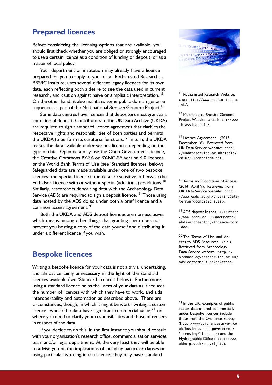## **Prepared licences**

Before considering the licensing options that are available, you should first check whether you are obliged or strongly encouraged to use a certain licence as a condition of funding or deposit, or as a matter of local policy.

Your department or institution may already have a licence prepared for you to apply to your data. Rothamsted Research, a BBSRC Institute, uses several different legacy licences for its own data, each reflecting both a desire to see the data used in current research, and caution against naïve or simplistic interpretation.<sup>[15](#page-4-0)</sup> On the other hand, it also maintains some public domain genome sequences as part of the Multinational *Brassica* Genome Project.<sup>[16](#page-4-1)</sup>

Some data centres have licences that depositors must grant as a condition of deposit. Contributors to the UK Data Archive (UKDA) are required to sign a standard licence agreement that clarifies the respective rights and responsibilities of both parties and permits the UKDA to perform its curatorial functions.<sup>[17](#page-4-2)</sup> In turn, the UKDA makes the data available under various licences depending on the type of data. Open data may use the Open Government Licence, the Creative Commons BY-SA or BY-NC-SA version 4.0 licences, or the World Bank Terms of Use (see ['Standard licences'](#page-5-0) below). Safeguarded data are made available under one of two bespoke licences: the Special Licence if the data are sensitive, otherwise the End User Licence with or without special (additional) conditions.<sup>[18](#page-4-3)</sup> Similarly, researchers depositing data with the Archaeology Data Service (ADS) are required to sign a deposit licence.<sup>[19](#page-4-4)</sup> Those using data hosted by the ADS do so under both a brief licence and a common access agreement.<sup>[20](#page-4-5)</sup>

Both the UKDA and ADS deposit licences are non-exclusive, which means among other things that granting them does not prevent you hosting a copy of the data yourself and distributing it under a different licence if you wish.

## **Bespoke licences**

Writing a bespoke licence for your data is not a trivial undertaking, and almost certainly unnecessary in the light of the standard licences available (see ['Standard licences'](#page-5-0) below). Furthermore, using a standard licence helps the users of your data as it reduces the number of licences with which they have to work, and aids interoperability and automation as described above. There are circumstances, though, in which it might be worth writing a custom licence: where the data have significant commercial value,  $2^{1}$  or where you need to clarify your responsibilities and those of reusers in respect of the data.

If you decide to do this, in the first instance you should consult with your organisation's research office, commercialisation services team and/or legal department. At the very least they will be able to advise you on the implications of including particular clauses or using particular wording in the licence; they may have standard



<span id="page-4-0"></span><sup>15</sup> Rothamsted Research Website, U R L: [http://www.rothamsted.ac](http://www.rothamsted.ac.uk/) [.uk/](http://www.rothamsted.ac.uk/).

<span id="page-4-1"></span><sup>16</sup> Multinational *Brassica* Genome Project Website, URL: [http://www](http://www.brassica.info/) [.brassica.info/](http://www.brassica.info/).

<span id="page-4-2"></span><sup>17</sup> Licence Agreement. (2013, December 16). Retrieved from UK Data Service website: [http:](http://ukdataservice.ac.uk/media/28102/licenceform.pdf) [//ukdataservice.ac.uk/media/](http://ukdataservice.ac.uk/media/28102/licenceform.pdf) [28102/licenceform.pdf](http://ukdataservice.ac.uk/media/28102/licenceform.pdf).

<span id="page-4-3"></span><sup>18</sup> Terms and Conditions of Access. (2014, April 9). Retrieved from UK Data Service website: [http:](http://www.esds.ac.uk/orderingData/termsandconditions.asp) [//www.esds.ac.uk/orderingData/](http://www.esds.ac.uk/orderingData/termsandconditions.asp) [termsandconditions.asp](http://www.esds.ac.uk/orderingData/termsandconditions.asp).

<span id="page-4-4"></span><sup>19</sup> ADS deposit licence, URL: [http:](http://www.ahds.ac.uk/documents/ahds-archaeology-licence-form.doc) [//www.ahds.ac.uk/documents/](http://www.ahds.ac.uk/documents/ahds-archaeology-licence-form.doc) [ahds-archaeology-licence-form](http://www.ahds.ac.uk/documents/ahds-archaeology-licence-form.doc) [.doc](http://www.ahds.ac.uk/documents/ahds-archaeology-licence-form.doc).

<span id="page-4-5"></span><sup>20</sup> The Terms of Use and Access to ADS Resources. (n.d.). Retrieved from Archaeology Data Service website: [http://](http://archaeologydataservice.ac.uk/advice/termsOfUseAndAccess) [archaeologydataservice.ac.uk/](http://archaeologydataservice.ac.uk/advice/termsOfUseAndAccess) [advice/termsOfUseAndAccess](http://archaeologydataservice.ac.uk/advice/termsOfUseAndAccess).

<span id="page-4-6"></span><sup>21</sup> In the UK, examples of public sector data offered commercially under bespoke licences include those from the Ordnance Survey ([http://www.ordnancesurvey.co.](http://www.ordnancesurvey.co.uk/business-and-government/licensing/licences/) [uk/business-and-government/](http://www.ordnancesurvey.co.uk/business-and-government/licensing/licences/) [licensing/licences/](http://www.ordnancesurvey.co.uk/business-and-government/licensing/licences/)) and the Hydrographic Office ([http://www.](http://www.ukho.gov.uk/copyright/) [ukho.gov.uk/copyright/](http://www.ukho.gov.uk/copyright/)).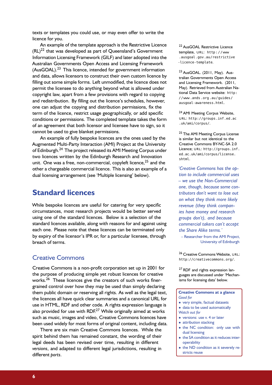texts or templates you could use, or may even offer to write the licence for you.

An example of the template approach is the Restrictive Licence  $(RL)^{22}$  $(RL)^{22}$  $(RL)^{22}$  that was developed as part of Queensland's Government Information Licensing Framework (GILF) and later adopted into the Australian Governments Open Access and Licensing Framework (AusGOAL).[23](#page-5-2) This licence, intended for government information and data, allows licensors to construct their own custom licence by filling out some simple forms. Left unmodified, the licence does not permit the licensee to do anything beyond what is allowed under copyright law, apart from a few provisions with regard to copying and redistribution. By filling out the licence's schedules, however, one can adjust the copying and distribution permissions, fix the term of the licence, restrict usage geographically, or add specific conditions or permissions. The completed template takes the form of an agreement that both licensor and licensee have to sign, so it cannot be used to give blanket permissions.

An example of fully bespoke licences are the ones used by the Augmented Multi-Party Interaction (AMI) Project at the University of Edinburgh.<sup>[24](#page-5-3)</sup> The project released its AMI Meeting Corpus under two licences written by the Edinburgh Research and Innovation unit. One was a free, non-commercial, copyleft licence,  $25$  and the other a chargeable commercial licence. This is also an example of a dual licensing arrangement (see ['Multiple licensing'](#page-9-0) below).

## <span id="page-5-0"></span>**Standard licences**

While bespoke licences are useful for catering for very specific circumstances, most research projects would be better served using one of the standard licences. Below is a selection of the standard licences available, along with reasons for and against using each one. Please note that these licences can be terminated only by expiry of the licensor's IPR or, for a particular licensee, through breach of terms.

## Creative Commons

Creative Commons is a non-profit corporation set up in 2001 for the purpose of producing simple yet robust licences for creative works.<sup>[26](#page-5-5)</sup> These licences give the creators of such works finergrained control over how they may be used than simply declaring them public domain or reserving all rights. As well as the legal text, the licences all have quick clear summaries and a canonical URL for use in HTML, RDF and other code. A rights expression language is also provided for use with  $RDF<sup>27</sup>$  $RDF<sup>27</sup>$  $RDF<sup>27</sup>$  While originally aimed at works such as music, images and video, Creative Commons licences have been used widely for most forms of original content, including data.

There are six main Creative Commons licences. While the spirit behind them has remained constant, the wording of their legal deeds has been revised over time, resulting in different *versions*, and adapted to different legal jurisdictions, resulting in different *ports*.

<span id="page-5-1"></span><sup>22</sup> AusGOAL Restrictive Licence template, URL: [http://www](http://www.ausgoal.gov.au/restrictive-licence-template) [.ausgoal.gov.au/restrictive](http://www.ausgoal.gov.au/restrictive-licence-template) [-licence-template](http://www.ausgoal.gov.au/restrictive-licence-template).

<span id="page-5-2"></span><sup>23</sup> AusGOAL. (2011, May). Australian Governments Open Access and Licensing Framework. (2011, May). Retrieved from Australian National Data Service website: [http:](http://www.ands.org.au/guides/ausgoal-awareness.html) [//www .ands .org .au/guides/](http://www.ands.org.au/guides/ausgoal-awareness.html) [ausgoal-awareness.html](http://www.ands.org.au/guides/ausgoal-awareness.html).

<span id="page-5-3"></span><sup>24</sup> AMI Meeting Corpus Website, URL: [http://groups.inf.ed.ac](http://groups.inf.ed.ac.uk/ami/corpus/) [.uk/ami/corpus/](http://groups.inf.ed.ac.uk/ami/corpus/).

<span id="page-5-4"></span><sup>25</sup> The AMI Meeting Corpus License is similar but not identical to the Creative Commons BY-NC-SA 2.0 Licence: URL: [http://groups.inf.](http://groups.inf.ed.ac.uk/ami/corpus/license.shtml) [ed.ac.uk/ami/corpus/license.](http://groups.inf.ed.ac.uk/ami/corpus/license.shtml) [shtml](http://groups.inf.ed.ac.uk/ami/corpus/license.shtml).

*'Creative Commons has the option to include commercial uses – we use the Non-Commercial one, though, because some contributors don't want to lose out on what they think more likely revenue (they think companies have money and research groups don't), and because commercial takers can't accept the Share Alike terms.'*

– Researcher from the AMI Project, University of Edinburgh

<span id="page-5-5"></span>26 Creative Commons Website, URL: <http://creativecommons.org/>.

<span id="page-5-6"></span><sup>27</sup> RDF and rights expression languages are discussed under ['Mechan](#page-11-0)[isms for licensing data'](#page-11-0) below.

**Creative Commons at a glance** *Good for*

- very simple, factual datasets
- data to be used automatically
- *Watch out for*
- versions: use v. 4 or later
- attribution stacking
- the NC condition: only use with dual licensing
- the SA condition as it reduces interoperability
- the ND condition as it severely restricts reuse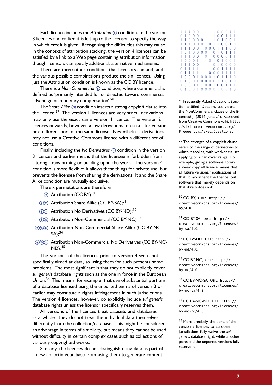Each licence includes the *Attribution* (i) condition. In the version 3 licences and earlier, it is left up to the licensor to specify the way in which credit is given. Recognising the difficulties this may cause in the context of attribution stacking, the version 4 licences can be satisfied by a link to a Web page containing attribution information, though licensors can specify additional, alternative mechanisms.

There are three other conditions that licensors can add, and the various possible combinations produce the six licences. Using just the Attribution condition is known as the CC BY licence.

There is a *Non-Commercial*  $\circledast$  condition, where commercial is defined as 'primarily intended for or directed toward commercial advantage or monetary compensation'.<sup>[28](#page-6-0)</sup>

The *Share Alike* @ condition inserts a strong copyleft clause into the licence.<sup>[29](#page-6-1)</sup> The version I licences are very strict: derivations may only use the exact same version 1 licence. The version 2 licences onwards, however, allow derivations to use a later version or a different port of the same license. Nevertheless, derivations may not use a Creative Commons licence with a different set of conditions.

Finally, including the *No Derivatives*  $\epsilon$  condition in the version 3 licences and earlier means that the licensee is forbidden from altering, transforming or building upon the work. The version 4 condition is more flexible: it allows these things for private use, but prevents the licensee from sharing the derivations. It and the Share Alike condition are mutually exclusive.

The six permutations are therefore

- **(i)** Attribution (CC BY);<sup>[30](#page-6-2)</sup>
- (i) Attribution Share Alike (CC BY-SA);<sup>[31](#page-6-3)</sup>
- $\phi \in$  Attribution No Derivatives (CC BY-ND);<sup>[32](#page-6-4)</sup>
- (i) Attribution Non-Commercial (CC BY-NC);<sup>[33](#page-6-5)</sup>
- (i) So Attribution Non-Commercial Share Alike (CC BY-NC- $SA):^{34}$  $SA):^{34}$  $SA):^{34}$
- **(i)Se** Attribution Non-Commercial No Derivatives (CC BY-NC- $ND$ ).  $35$

The versions of the licences prior to version 4 were not specifically aimed at data, so using them for such presents some problems. The most significant is that they do not explicitly cover *sui generis* database rights such as the one in force in the European Union.[36](#page-6-8) This means, for example, that use of substantial portions of a database licensed using the unported terms of version 3 or earlier may constitute a rights infringement in such jurisdictions. The version 4 licences, however, do explicitly include *sui generis* database rights unless the licensor specifically reserves them.

All versions of the licences treat datasets and databases as a whole: they do not treat the individual data themselves differently from the collection/database. This might be considered an advantage in terms of simplicity, but means they cannot be used without difficulty in certain complex cases such as collections of variously copyrighted works.

Similarly, the licences do not distinguish using data as part of a new collection/database from using them to generate content

|   |   |   | O | 0 |   |   |   |   | 0 | O | O |   |   |
|---|---|---|---|---|---|---|---|---|---|---|---|---|---|
|   |   |   | 0 | 0 |   |   |   |   | 0 | 0 |   |   |   |
|   |   | O | 0 | 0 | 0 | I |   | I | 0 |   | 0 | 0 |   |
|   |   |   | 0 | 0 | 0 | I | 0 | I |   | 0 | 0 |   |   |
|   |   |   | 0 | 0 | I | 0 | 0 | 0 | I |   |   | O | O |
|   | 0 |   | 0 | 0 | 0 | 0 | I | 0 | I | 0 |   |   |   |
|   |   |   | 0 | 0 | I | 0 | I | 0 | 0 | 0 | 0 |   |   |
|   | 0 | O | 0 |   |   |   | O | I | 0 |   | 0 | Ü |   |
|   |   |   | 0 | 0 |   |   | I | 0 | I | 0 | 0 | 0 | Ω |
|   |   |   |   |   |   |   |   | 0 | O |   |   |   |   |
|   |   |   |   |   |   |   | 0 | 0 | 0 |   |   |   |   |
| I | 0 | 0 | 0 | I | 0 | 0 | 0 | I | 0 |   |   |   |   |
|   |   | 0 | 0 | I | 0 | 0 | 0 | 0 |   |   | 0 |   |   |
|   | 0 | 0 | 0 |   |   | 0 | 0 | I | 0 | 0 |   |   |   |
|   |   |   |   |   |   | Ω | Ω |   |   |   |   |   | O |
|   |   |   |   |   |   |   |   |   |   |   |   |   |   |

<span id="page-6-0"></span><sup>28</sup> Frequently Asked Questions (section entitled 'Does my use violate the NonCommercial clause of the licenses?'). (2014, June 24). Retrieved from Creative Commons wiki: [http:](http://wiki.creativecommons.org/Frequently_Asked_Questions) [//wiki.creativecommons.org/](http://wiki.creativecommons.org/Frequently_Asked_Questions) [Frequently\\_Asked\\_Questions](http://wiki.creativecommons.org/Frequently_Asked_Questions).

<span id="page-6-1"></span><sup>29</sup> The strength of a copyleft clause refers to the range of derivations to which it applies, with weaker clauses applying to a narrower range. For example, giving a software library a weak copyleft licence means that all future versions/modifications of that library inherit the licence, but software that merely depends on that library does not.

<span id="page-6-2"></span> CC BY, URL: http:// [creativecommons.org/licenses/](http://creativecommons.org/licenses/by/4.0)  $by/4.0.$  $by/4.0.$ 

<span id="page-6-3"></span> CC BY-SA, URL: http:// [creativecommons.org/licenses/](http://creativecommons.org/licenses/by-sa/4.0)  $bv-sa/4.0.$ 

<span id="page-6-4"></span>32 CC BY-ND, URL: [http://](http://creativecommons.org/licenses/by-nd/4.0) [creativecommons.org/licenses/](http://creativecommons.org/licenses/by-nd/4.0)  $bv$ -nd/4. $0$ .

<span id="page-6-5"></span> CC BY-NC, URL: [http://](http://creativecommons.org/licenses/by-nc/4.0) [creativecommons.org/licenses/](http://creativecommons.org/licenses/by-nc/4.0) [by-nc/4.0](http://creativecommons.org/licenses/by-nc/4.0).

<span id="page-6-6"></span>34 CC BY-NC-SA, URL: [http://](http://creativecommons.org/licenses/by-nc-sa/4.0) [creativecommons.org/licenses/](http://creativecommons.org/licenses/by-nc-sa/4.0) [by-nc-sa/4.0](http://creativecommons.org/licenses/by-nc-sa/4.0).

<span id="page-6-7"></span>35 CC BY-NC-ND, URL: [http://](http://creativecommons.org/licenses/by-nc-nd/4.0) [creativecommons.org/licenses/](http://creativecommons.org/licenses/by-nc-nd/4.0) [by-nc-nd/4.0](http://creativecommons.org/licenses/by-nc-nd/4.0).

<span id="page-6-8"></span><sup>36</sup> More precisely, the ports of the version 3 licences to European jurisdictions fully waive the *sui generis* database right, while all other ports and the unported versions fully reserve it.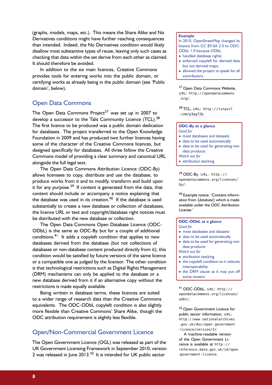(graphs, models, maps, etc.). This means the Share Alike and No Derivatives conditions might have further reaching consequences than intended. Indeed, the No Derivatives condition would likely disallow most substantive types of reuse, leaving only such cases as checking that data within the set derive from each other as claimed. It should therefore be avoided.

In addition to the six main licences, Creative Commons provides tools for entering works into the public domain, or certifying works as already being in the public domain (see ['Public](#page-8-0) [domain'](#page-8-0), below).

## Open Data Commons

The Open Data Commons Project<sup>[37](#page-7-0)</sup> was set up in 2007 to develop a successor to the Talis Community Licence (TCL).<sup>[38](#page-7-1)</sup> The first licence to be produced was a public domain dedication for databases. The project transferred to the Open Knowledge Foundation in 2009 and has produced two further licences having some of the character of the Creative Commons licences, but designed specifically for databases. All three follow the Creative Commons model of providing a clear summary and canonical URL alongside the full legal text.

The Open Data Commons Attribution Licence (ODC-By) allows licensees to copy, distribute and use the database, to produce works from it and to modify, transform and build upon it for any purpose. $39$  If content is generated from the data, that content should include or accompany a notice explaining that the database was used in its creation. $40$  If the database is used substantially to create a new database or collection of databases, the licence URL or text and copyright/database right notices must be distributed with the new database or collection.

The Open Data Commons Open Database Licence (ODC-ODbL) is the same as ODC-By but for a couple of additional conditions.<sup>[41](#page-7-4)</sup> It adds a copyleft condition that applies to new databases derived from the database (but not collections of databases or non-database content produced directly from it); this condition would be satisfied by future versions of the same licence or a compatible one as judged by the licensor. The other condition is that technological restrictions such as Digital Rights Management (DRM) mechanisms can only be applied to the database or a new database derived from it if an alternative copy without the restrictions is made equally available.

Being written in database terms, these licences are suited to a wider range of research data than the Creative Commons equivalents. The ODC-ODbL copyleft condition is also slightly more flexible than Creative Commons' Share Alike, though the ODC attribution requirement is slightly less flexible.

## Open/Non-Commercial Government Licence

The Open Government Licence (OGL) was released as part of the UK Government Licensing Framework in September 2010; version 2 was released in June  $2013.<sup>42</sup>$  $2013.<sup>42</sup>$  $2013.<sup>42</sup>$  It is intended for UK public sector

#### **Example**

In 2010, [OpenStreetMap changed its](http://www.osmfoundation.org/wiki/License/We_Are_Changing_The_License) [licence](http://www.osmfoundation.org/wiki/License/We_Are_Changing_The_License) from CC BY-SA 2.0 to ODC-ODbL 1.0 because ODbL

- handled database rights;
- enforced copyleft for derived data but not derived maps;
- allowed the project to speak for all contributors.

<span id="page-7-0"></span><sup>37</sup> Open Data Commons Website, URL: [http://opendatacommons](http://opendatacommons.org/) [.org/](http://opendatacommons.org/).

<span id="page-7-1"></span>38 TCL, URL: [http://tinyurl](http://tinyurl.com/p3ag72b) [.com/p3ag72b](http://tinyurl.com/p3ag72b).

#### **ODC-By at a glance** *Good for*

- most databases and datasets
- data to be used automatically
- data to be used for generating nondata products

*Watch out for*

• attribution stacking

<span id="page-7-2"></span> $39$  ODC-By, URL: http:// [opendatacommons.org/licenses/](http://opendatacommons.org/licenses/by/) [by/](http://opendatacommons.org/licenses/by/).

<span id="page-7-3"></span><sup>40</sup> Example notice: 'Contains information from **〈***database***〉** which is made available under the [ODC Attribution](http://opendatacommons.org/licenses/by/) [License.](http://opendatacommons.org/licenses/by/)'

#### **ODC-ODbL at a glance** *Good for*

- most databases and datasets
- data to be used automatically
- data to be used for generating nondata products
- *Watch out for*
- attribution stacking
- the copyleft condition as it reduces interoperability
- the DRM clause as it may put off some reusers

<span id="page-7-4"></span>41 ODC-ODbL, URL: [http://](http://opendatacommons.org/licenses/odbl/) [opendatacommons.org/licenses/](http://opendatacommons.org/licenses/odbl/) [odbl/](http://opendatacommons.org/licenses/odbl/).

<span id="page-7-5"></span><sup>42</sup> Open Government Licence for public sector information, URL: [http://www.nationalarchives](http://www.nationalarchives.gov.uk/doc/open-government-licence/version/2/) [.gov.uk/doc/open-government](http://www.nationalarchives.gov.uk/doc/open-government-licence/version/2/) [-licence/version/2/](http://www.nationalarchives.gov.uk/doc/open-government-licence/version/2/).

A machine-readable version of the Open Government Licence is available at [http://](http://reference.data.gov.uk/id/open-government-licence) [reference.data.gov.uk/id/open](http://reference.data.gov.uk/id/open-government-licence) [-government-licence](http://reference.data.gov.uk/id/open-government-licence).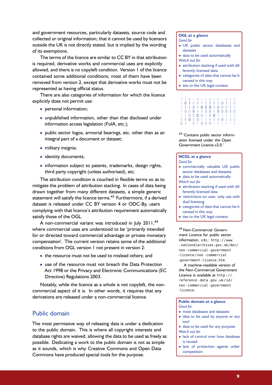and government resources, particularly datasets, source code and collected or original information; that it cannot be used by licensors outside the UK is not directly stated, but is implied by the wording of its exemptions.

The terms of the licence are similar to CC BY in that attribution is required, derivative works and commercial uses are explicitly allowed, and there is no copyleft condition. Version 1 of the licence contained some additional conditions; most of them have been removed from version 2, except that derivative works must not be represented as having official status.

There are also categories of information for which the licence explicitly does not permit use:

- personal information;
- unpublished information, other than that disclosed under information access legislation (FoIA, etc.);
- public sector logos, armorial bearings, etc. other than as an integral part of a document or dataset;
- military insignia;
- identity documents;
- information subject to patents, trademarks, design rights, third party copyright (unless authorised), etc.

The attribution condition is couched in flexible terms so as to mitigate the problem of attribution stacking. In cases of data being drawn together from many different datasets, a simple generic statement will satisfy the licence terms.<sup>[43](#page-8-1)</sup> Furthermore, if a derived dataset is released under CC BY version 4 or ODC-By, users complying with that licence's attribution requirement automatically satisfy those of the OGL.

A non-commercial variant was introduced in July 2011,<sup>[44](#page-8-2)</sup> where commercial uses are understood to be 'primarily intended for or directed toward commercial advantage or private monetary compensation'. The current version retains some of the additional conditions from OGL version 1 not present in version 2:

- the resource must not be used to mislead others; and
- use of the resource must not breach the Data Protection Act 1998 or the Privacy and Electronic Communications (EC Directive) Regulations 2003.

Notably, while the licence as a whole is not copyleft, the noncommercial aspect of it is. In other words, it requires that any derivations are released under a non-commercial licence.

#### <span id="page-8-0"></span>Public domain

The most permissive way of releasing data is under a dedication to the public domain. This is where all copyright interests and database rights are waived, allowing the data to be used as freely as possible. Dedicating a work to the public domain is not as simple as it sounds, which is why Creative Commons and Open Data Commons have produced special tools for the purpose.

## **OGL at a glance**

*Good for*

- UK public sector databases and datasets
- data to be used automatically *Watch out for*
- attribution stacking if used with differently licensed data
- categories of data that cannot be licensed in this way
- ties to the UK legal context

|  |  |  |  |  | 0   0   0     0 0 0   0   1                                                   |  |
|--|--|--|--|--|-------------------------------------------------------------------------------|--|
|  |  |  |  |  | 10101100100110                                                                |  |
|  |  |  |  |  | 1 1 0 1 0 0 0 0 0 0 0 1 1                                                     |  |
|  |  |  |  |  | 10001100100010                                                                |  |
|  |  |  |  |  | 11000011011110                                                                |  |
|  |  |  |  |  | 0   0   0   0   0   0   0   0   0   0   0   0   0   0   0   0   0   0   0   0 |  |
|  |  |  |  |  | 0     0   0 0 0   0                                                           |  |

<span id="page-8-1"></span><sup>43</sup> 'Contains public sector information licensed under the Open Government Licence v2.0.'

#### **NCGL at a glance** *Good for*

- commercially valuable UK public
- sector databases and datasets
- data to be used automatically
- *Watch out for* • attribution stacking if used with dif-
- ferently licensed data
- restrictions on uses: only use with dual licensing
- categories of data that cannot be licensed in this way
- ties to the UK legal context

<span id="page-8-2"></span><sup>44</sup> Non-Commercial Government Licence for public sector information, URL: [http://www](http://www.nationalarchives.gov.uk/doc/non-commercial-government-licence/non-commercial-government-licence.htm) [.nationalarchives.gov.uk/doc/](http://www.nationalarchives.gov.uk/doc/non-commercial-government-licence/non-commercial-government-licence.htm) [non -commercial -government](http://www.nationalarchives.gov.uk/doc/non-commercial-government-licence/non-commercial-government-licence.htm) [-licence / non -commercial](http://www.nationalarchives.gov.uk/doc/non-commercial-government-licence/non-commercial-government-licence.htm) [-government-licence.htm](http://www.nationalarchives.gov.uk/doc/non-commercial-government-licence/non-commercial-government-licence.htm).

A machine-readable version of the Non-Commercial Government Licence is available at [http://](http://reference.data.gov.uk/id/non-commercial-government-licence) [reference .data .gov .uk/id/](http://reference.data.gov.uk/id/non-commercial-government-licence) [non -commercial -government](http://reference.data.gov.uk/id/non-commercial-government-licence) [-licence](http://reference.data.gov.uk/id/non-commercial-government-licence).

#### **Public domain at a glance** *Good for*

- most databases and datasets
- data to be used by anyone or any tool
- data to be used for any purpose *Watch out for*
- lack of control over how database is reused
- lack of protection against unfair competition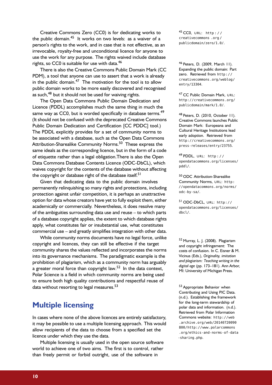Creative Commons Zero (CC0) is for dedicating works to the public domain.<sup>[45](#page-9-1)</sup> It works on two levels: as a waiver of a person's rights to the work, and in case that is not effective, as an irrevocable, royalty-free and unconditional licence for anyone to use the work for any purpose. The rights waived include database rights, so CC0 is suitable for use with data.<sup>[46](#page-9-2)</sup>

There is also the Creative Commons Public Domain Mark (CC PDM), a tool that anyone can use to assert that a work is already in the public domain. $47$  The motivation for the tool is to allow public domain works to be more easily discovered and recognised as such,<sup>[48](#page-9-4)</sup> but it should not be used for waiving rights.

The Open Data Commons Public Domain Dedication and Licence (PDDL) accomplishes much the same thing in much the same way as CC0, but is worded specifically in database terms.<sup>[49](#page-9-5)</sup> (It should not be confused with the deprecated Creative Commons Public Domain Dedication and Certification [CC PDDC] tool.) The PDDL explicitly provides for a set of community norms to be associated with a database, such as the Open Data Commons Attribution-Sharealike Community Norms.<sup>[50](#page-9-6)</sup> These express the same ideals as the corresponding licence, but in the form of a code of etiquette rather than a legal obligation.There is also the Open Data Commons Database Contents Licence (ODC-DbCL), which waives copyright for the contents of the database without affecting the copyright or database right of the database itself.<sup>[51](#page-9-7)</sup>

Given that dedicating data to the public domain involves permanently relinquishing so many rights and protections, including protection against unfair competition, it is perhaps an unattractive option for data whose creators have yet to fully exploit them, either academically or commercially. Nevertheless, it does resolve many of the ambiguities surrounding data use and reuse – to which parts of a database copyright applies, the extent to which database rights apply, what constitutes fair or insubstantial use, what constitutes commercial use – and greatly simplifies integration with other data.

While community norms documents have no legal force, unlike copyright and licences, they can still be effective if the target community shares the values reflected and incorporates the norms into its governance mechanisms. The paradigmatic example is the prohibition of plagiarism, which as a community norm has arguably a greater moral force than copyright law.<sup>[52](#page-9-8)</sup> In the data context, Polar Science is a field in which community norms are being used to ensure both high quality contributions and respectful reuse of data without resorting to legal measures.<sup>[53](#page-9-9)</sup>

## <span id="page-9-0"></span>**Multiple licensing**

In cases where none of the above licences are entirely satisfactory, it may be possible to use a multiple licensing approach. This would allow recipients of the data to choose from a specified set the licence under which they use the data.

Multiple licensing is usually used in the open source software world to achieve one of two aims. The first is to control, rather than freely permit or forbid outright, use of the software in

<span id="page-9-1"></span>45 CC0, URL: http:// [creativecommons .org /](http://creativecommons.org/publicdomain/zero/1.0/) [publicdomain/zero/1.0/](http://creativecommons.org/publicdomain/zero/1.0/).

<span id="page-9-2"></span><sup>46</sup> Peters, D. (2009, March 11). Expanding the public domain: Part zero. Retrieved from [http://](http://creativecommons.org/weblog/entry/13304) [creativecommons.org/weblog/](http://creativecommons.org/weblog/entry/13304) [entry/13304](http://creativecommons.org/weblog/entry/13304).

<span id="page-9-3"></span>47 CC Public Domain Mark, URL: [http://creativecommons.org/](http://creativecommons.org/publicdomain/mark/1.0/) [publicdomain/mark/1.0/](http://creativecommons.org/publicdomain/mark/1.0/).

<span id="page-9-4"></span><sup>48</sup> Peters, D. (2010, October 11). Creative Commons launches Public Domain Mark: Europeana and Cultural Heritage Institutions lead early adoption. Retrieved from [http://creativecommons.org/](http://creativecommons.org/press-releases/entry/23755) [press-releases/entry/23755](http://creativecommons.org/press-releases/entry/23755).

<span id="page-9-5"></span> $49$  PDDL, URL: http:// [opendatacommons.org/licenses/](http://opendatacommons.org/licenses/pddl/) [pddl/](http://opendatacommons.org/licenses/pddl/).

<span id="page-9-6"></span><sup>50</sup> ODC Attribution-Sharealike Community Norms, URL: [http:](http://opendatacommons.org/norms/odc-by-sa/) [//opendatacommons.org/norms/](http://opendatacommons.org/norms/odc-by-sa/) [odc-by-sa/](http://opendatacommons.org/norms/odc-by-sa/).

<span id="page-9-7"></span>51 ODC-DbCL, URL: [http://](http://opendatacommons.org/licenses/dbcl/) [opendatacommons.org/licenses/](http://opendatacommons.org/licenses/dbcl/) [dbcl/](http://opendatacommons.org/licenses/dbcl/).

<span id="page-9-8"></span><sup>52</sup> Murray, L. J. (2008). Plagiarism and copyright infringement: The costs of confusion. In C. Eisner & M. Vicinus (Eds.), *Originality, imitation and plagiarism: Teaching writing in the digital age* (pp. 173–181). Ann Arbor, MI: University of Michigan Press.

<span id="page-9-9"></span>53 Appropriate Behavior when Contributing and Using PIC Data. (n.d.). Establishing the framework for the long-term stewardship of polar data and information. (n.d.). Retrieved from Polar Information Commons website: [http://web](http://web.archive.org/web/20140720090800/http://www.polarcommons.org/ethics-and-norms-of-data-sharing.php) [.archive.org/web/20140720090](http://web.archive.org/web/20140720090800/http://www.polarcommons.org/ethics-and-norms-of-data-sharing.php) [800/http://www.polarcommons](http://web.archive.org/web/20140720090800/http://www.polarcommons.org/ethics-and-norms-of-data-sharing.php) [.org/ethics-and-norms-of-data](http://web.archive.org/web/20140720090800/http://www.polarcommons.org/ethics-and-norms-of-data-sharing.php) [-sharing.php](http://web.archive.org/web/20140720090800/http://www.polarcommons.org/ethics-and-norms-of-data-sharing.php).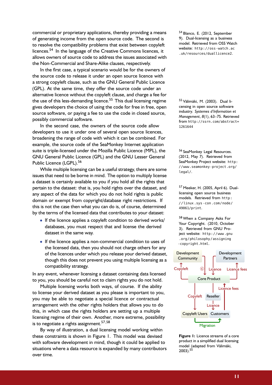commercial or proprietary applications, thereby providing a means of generating income from the open source code. The second is to resolve the compatibility problems that exist between copyleft licences.<sup>[54](#page-10-1)</sup> In the language of the Creative Commons licences, it allows owners of source code to address the issues associated with the Non-Commercial and Share-Alike clauses, respectively.

In the first case, a typical scenario would be for the owners of the source code to release it under an open source licence with a strong copyleft clause, such as the GNU General Public Licence (GPL). At the same time, they offer the source code under an alternative licence without the copyleft clause, and charge a fee for the use of this less-demanding licence.<sup>[55](#page-10-0)</sup> This dual licensing regime gives developers the choice of using the code for free in free, open source software, or paying a fee to use the code in closed source, possibly commercial software.

In the second case, the owners of the source code allow developers to use it under one of several open source licences, broadening the range of code with which it can be combined. For example, the source code of the SeaMonkey Internet application suite is triple-licensed under the Mozilla Public Licence (MPL), the GNU General Public Licence (GPL) and the GNU Lesser General Public Licence (LGPL).<sup>[56](#page-10-2)</sup>

While multiple licensing can be a useful strategy, there are some issues that need to be borne in mind. The option to multiply license a dataset is certainly available to you if you hold all the rights that pertain to the dataset: that is, you hold rights over the dataset, and any aspect of the data for which you do not hold rights is public domain or exempt from copyright/database right restrictions. If this is not the case then what you can do is, of course, determined by the terms of the licensed data that contributes to your dataset:

- If the licence applies a copyleft condition to derived works/ databases, you must respect that and license the derived dataset in the same way.
- If the licence applies a non-commercial condition to uses of the licensed data, then you should not charge others for any of the licences under which you release your derived dataset, though this does not prevent you using multiple licensing as a compatibility strategy.

In any event, whenever licensing a dataset containing data licensed to you, you should be careful not to claim rights you do not hold.

Multiple licensing works both ways, of course. If the ability to license your derived dataset as you please is important to you, you may be able to negotiate a special licence or contractual arrangement with the other rights holders that allows you to do this, in which case the rights holders are setting up a multiple licensing regime of their own. Another, more extreme, possibility is to negotiate a rights assignment.<sup>[57,](#page-10-3)[58](#page-10-4)</sup>

By way of illustration, a dual licensing model working within these constraints is shown in [Figure 1.](#page-10-5) This model was devised with software development in mind, though it could be applied to situations where a data resource is expanded by many contributors over time.

<span id="page-10-1"></span><sup>54</sup> Blanco, E. (2012, September 9). Dual-licensing as a business model. Retrieved from OSS Watch website: [http://oss-watch.ac](http://oss-watch.ac.uk/resources/duallicence2) [.uk/resources/duallicence2](http://oss-watch.ac.uk/resources/duallicence2).

<span id="page-10-0"></span><sup>55</sup> Välimäki, M. (2003). Dual licensing in open source software industry. *Systemes d'Information et Management*, *8*(1), 63–75. Retrieved from [http://ssrn.com/abstract=](http://ssrn.com/abstract=1261644) [1261644](http://ssrn.com/abstract=1261644)

<span id="page-10-2"></span><sup>56</sup> SeaMonkey Legal Resources. (2012, May 7). Retrieved from SeaMonkey Project website: [http:](http://www.seamonkey-project.org/legal/) [//www.seamonkey-project.org/](http://www.seamonkey-project.org/legal/) [legal/](http://www.seamonkey-project.org/legal/).

<span id="page-10-3"></span><sup>57</sup> Meeker, H. (2005, April 6). Duallicensing open source business models. Retrieved from [http:](http://linux.sys-con.com/node/49061/print) [//linux .sys -con .com/node/](http://linux.sys-con.com/node/49061/print) [49061/print](http://linux.sys-con.com/node/49061/print).

<span id="page-10-4"></span><sup>58</sup> When a Company Asks For Your Copyright. (2010, October 3). Retrieved from GNU Project website: [http://www .gnu](http://www.gnu.org/philosophy/assigning-copyright.html) [.org/philosophy/assigning](http://www.gnu.org/philosophy/assigning-copyright.html) [-copyright.html](http://www.gnu.org/philosophy/assigning-copyright.html).



<span id="page-10-5"></span>**Figure 1:** Licence streams of a core product in a simplified dual licensing model (adapted from Välimäki,  $2003$ ).  $5\overline{5}$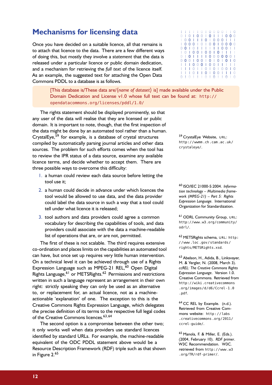## <span id="page-11-0"></span>**Mechanisms for licensing data**

Once you have decided on a suitable licence, all that remains is to attach that licence to the data. There are a few different ways of doing this, but mostly they involve a *statement* that the data is released under a particular licence or public domain dedication, and a mechanism for retrieving the *full text* of the licence itself. As an example, the suggested text for attaching the Open Data Commons PDDL to a database is as follows.

> [This database is/These data are/**〈***name of dataset***〉** is] made available under the Public Domain Dedication and License v1.0 whose full text can be found at: [http://](http://opendatacommons.org/licenses/pddl/1.0/) [opendatacommons.org/licenses/pddl/1.0/](http://opendatacommons.org/licenses/pddl/1.0/)

The rights statement should be displayed prominently, so that any user of the data will realise that they are licensed or public domain. It is important to note, though, that the first inspection of the data might be done by an automated tool rather than a human. CrystalEye,<sup>[59](#page-11-1)</sup> for example, is a database of crystal structures compiled by automatically parsing journal articles and other data sources. The problem for such efforts comes when the tool has to review the IPR status of a data source, examine any available licence terms, and decide whether to accept them. There are three possible ways to overcome this difficulty:

- 1. a human could review each data source before letting the tool use it;
- 2. a human could decide in advance under which licences the tool would be allowed to use data, and the data provider could label the data source in such a way that a tool could tell under what licence it is released;
- 3. tool authors and data providers could agree a common vocabulary for describing the capabilities of tools, and data providers could associate with the data a machine-readable list of operations that are, or are not, permitted.

The first of these is not scalable. The third requires extensive co-ordination and places limits on the capabilities an automated tool can have, but once set up requires very little human intervention. On a technical level it can be achieved through use of a Rights Expression Language such as MPEG-21 REL,<sup>[60](#page-11-2)</sup> Open Digital Rights Language, <sup>[61](#page-11-3)</sup> or METSRights.<sup>[62](#page-11-4)</sup> Permissions and restrictions written in such a language represent an arrangement in their own right: strictly speaking they can only be used as an alternative to, or replacement for, an actual licence, not as a machineactionable 'explanation' of one. The exception to this is the Creative Commons Rights Expression Language, which delegates the precise definition of its terms to the respective full legal codes of the Creative Commons licences.<sup>[63,](#page-11-5)[64](#page-11-6)</sup>

The second option is a compromise between the other two; it only works well when data providers use standard licences identified by standard URLs. For example, the machine-readable equivalent of the ODC PDDL statement above would be a Resource Description Framework (RDF) triple such as that shown in [Figure 2.](#page-12-0)<sup>[65](#page-11-7)</sup>

0 1 0 1 1 1 0 1 0 1 1 0 1 0 1 1 1 1 1 0 1 0 0 0 0 1 1 0 1 1 1 1 0 1 1 0 1 0 0 1 1 1 0 1 1 1 0 1 1 0 1 0 1 0 0 1 0 1 1 1 0 0 0 1 0 0 1 1 1 1 1 0 0 0 1 0 0 1 0 1 0 1 0 1 0 0 1 0 1 1 1 1 0 0 0 0 0 0 1 1010010010111 0 0 1 0 1 1 1 1 1 1 0 0 1 1 10001010010000 10011101000111 0 1 0 1 0 0 1 0 1 1 1 0 0 0

<span id="page-11-1"></span>59 CrystalEye Website, URL: [http://wwmm .ch .cam .ac .uk/](http://wwmm.ch.cam.ac.uk/crystaleye/) [crystaleye/](http://wwmm.ch.cam.ac.uk/crystaleye/).

<span id="page-11-2"></span><sup>60</sup> ISO/IEC 21000-5:2004. *Information technology – Multimedia framework (MPEG-21) – Part 5: Rights Expression Language.* International Organization for Standardization.

<span id="page-11-3"></span><sup>61</sup> ODRL Community Group, URL: [http://www.w3.org/community/](http://www.w3.org/community/odrl/) [odrl/](http://www.w3.org/community/odrl/).

<span id="page-11-4"></span>62 METSRights schema, URL: [http:](http://www.loc.gov/standards/rights/METSRights.xsd) [//www .loc .gov/standards/](http://www.loc.gov/standards/rights/METSRights.xsd) [rights/METSRights.xsd](http://www.loc.gov/standards/rights/METSRights.xsd).

<span id="page-11-5"></span><sup>63</sup> Abelson, H., Adida, B., Linksvayer, M. & Yergler, N. (2008, March 3). *ccREL: The Creative Commons Rights Expression Language*. Version 1.0. Creative Commons. Retrieved from [http://wiki.creativecommons](http://wiki.creativecommons.org/images/d/d6/Ccrel-1.0.pdf) [.org/images/d/d6/Ccrel-1.0](http://wiki.creativecommons.org/images/d/d6/Ccrel-1.0.pdf) [.pdf](http://wiki.creativecommons.org/images/d/d6/Ccrel-1.0.pdf).

<span id="page-11-6"></span><sup>64</sup> CC REL by Example. (n.d.). Retrieved from Creative Commons website: [http://labs](http://labs.creativecommons.org/2011/ccrel-guide/) [.creativecommons .org/2011/](http://labs.creativecommons.org/2011/ccrel-guide/) [ccrel-guide/](http://labs.creativecommons.org/2011/ccrel-guide/).

<span id="page-11-7"></span><sup>65</sup> Manola, F. & Miller, E. (Eds.). (2004, February 10). *RDF primer*. W3C Recommendation. W3C. retrieved from [http://www .w3](http://www.w3.org/TR/rdf-primer/) [.org/TR/rdf-primer/](http://www.w3.org/TR/rdf-primer/).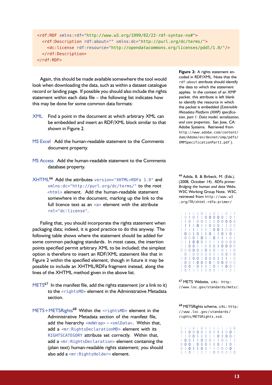```
<rdf:RDF xmlns:rdf="http://www.w3.org/1999/02/22-rdf-syntax-ns#">
 <rdf:Description rdf:about="" xmlns:dc="http://purl.org/dc/terms/">
    <dc:license rdf:resource="http://opendatacommons.org/licenses/pddl/1.0/"/>
 </rdf:Description>
\lt/rdf:RDF>
```
Again, this should be made available somewhere the tool would look when downloading the data, such as within a dataset catalogue record or landing page. If possible you should also include the rights statement within each data file – the following list indicates how this may be done for some common data formats:

- XML Find a point in the document at which arbitrary XML can be embedded and insert an RDF/XML block similar to that shown in [Figure 2.](#page-12-0)
- MS Excel Add the human-readable statement to the Comments document property.
- MS Access Add the human-readable statement to the Comments database property.
- XHTML[66](#page-12-1) Add the attributes version="XHTML+RDFa 1.0" and xmlns:dc="http://purl.org/dc/terms/" to the root <html> element. Add the human-readable statement somewhere in the document, marking up the link to the full licence text as an <a> element with the attribute rel="dc:license".

Failing that, you should incorporate the rights statement when packaging data; indeed, it is good practice to do this anyway. The following table shows where the statement should be added for some common packaging standards. In most cases, the insertion points specified permit arbitrary XML to be included; the simplest option is therefore to insert an RDF/XML statement like that in [Figure 2](#page-12-0) within the specified element, though in future it may be possible to include an XHTML/RDFa fragment instead, along the lines of the XHTML method given in the above list.

- $METS<sup>67</sup>$  $METS<sup>67</sup>$  $METS<sup>67</sup>$  In the manifest file, add the rights statement (or a link to it) to the <rightsMD> element in the Administrative Metadata section.
- METS+METSRights<sup>[68](#page-12-3)</sup> Within the <rightsMD> element in the Administrative Metadata section of the manifest file, add the hierarchy <mdWrap>  $\rightarrow$  <xmlData>. Within that, add a <mr:RightsDeclarationMD> element with its RIGHTSCATEGORY attribute set correctly. Within that, add a <mr:RightsDeclaration> element containing the (plain text) human-readable rights statement; you should also add a <mr:RightsHolder> element.

<span id="page-12-0"></span>**Figure 2:** A rights statement encoded in RDF/XML. Note that the rdf:about attribute should identify the data to which the statement applies. In the context of an XMP packet, this attribute is left blank to identify the resource in which the packet is embedded (*Extensible Metadata Platform (XMP) specification, part 1: Data model, serialization, and core properties*. San Jose, CA: Adobe Systems. Retrieved from [http://www.adobe.com/content/](http://www.adobe.com/content/dam/Adobe/en/devnet/xmp/pdfs/XMPSpecificationPart1.pdf) [dam/Adobe/en/devnet/xmp/pdfs/](http://www.adobe.com/content/dam/Adobe/en/devnet/xmp/pdfs/XMPSpecificationPart1.pdf) [XMPSpecificationPart1.pdf](http://www.adobe.com/content/dam/Adobe/en/devnet/xmp/pdfs/XMPSpecificationPart1.pdf) ).

<span id="page-12-1"></span> Adida, B. & Birbeck, M. (Eds.). (2008, October 14). *RDFa primer: Bridging the human and data Webs*. W3C Working Group Note. W3C. retrieved from [http://www .w3](http://www.w3.org/TR/xhtml-rdfa-primer/) [.org/TR/xhtml-rdfa-primer/](http://www.w3.org/TR/xhtml-rdfa-primer/)

|   |   |   | O | 0 | $\Omega$ | 0 | 0 | $\circ$ |          | 0 |   |   |
|---|---|---|---|---|----------|---|---|---------|----------|---|---|---|
|   |   | 0 |   |   | 0        | 0 | 0 | 0       | 0        | I | 0 |   |
|   |   |   | 0 | 0 | 0        | 1 | I | 0       | $\Omega$ | 0 | 0 | 0 |
|   |   |   | 0 |   |          | 0 | 0 | 0       | I        |   | 0 | 0 |
|   |   |   |   |   |          | I | 0 | 0       | I        | 0 | 0 | 0 |
| 0 | O |   | 0 |   |          | 0 | I | I       | 0        | I | 0 | I |
| 0 | O | 0 | 1 | 0 | I        | I | 0 |         |          | I | 0 | I |
|   |   | 0 | 0 | 0 | I        | I | I |         | 0        | 0 | 0 | 0 |
| I | 0 | 0 | ı | I |          |   | 0 |         | 0        | 0 | 0 | 0 |
|   | 0 | 0 | 0 |   | 0        |   | 0 | I       | 0        |   | I | 0 |
| 0 |   | 0 | 0 | 0 | 0        | ı | I | I       | 0        | 0 | I | 0 |
| 0 |   | 0 | 0 |   | 0        | 0 | 0 |         | I        |   | I | 0 |
| 0 | 0 |   | 0 | 0 | $\Omega$ | 0 | 1 | 0       | 0        | 0 | 0 | 0 |
| 0 |   |   | 0 |   |          | I | 0 |         |          | O | 0 | 0 |
|   |   |   |   |   |          | Ω | Ω |         |          |   |   |   |

<span id="page-12-2"></span><sup>67</sup> METS Website, URL: [http:](http://www.loc.gov/standards/mets/) [//www.loc.gov/standards/mets/](http://www.loc.gov/standards/mets/).

<span id="page-12-3"></span>68 METSRights schema, URL: [http:](http://www.loc.gov/standards/rights/METSRights.xsd) [//www .loc .gov/standards/](http://www.loc.gov/standards/rights/METSRights.xsd) [rights/METSRights.xsd](http://www.loc.gov/standards/rights/METSRights.xsd).

|  |  |  |  | 10001010101100            |  |  |
|--|--|--|--|---------------------------|--|--|
|  |  |  |  | 0   0 0 0 0           0 0 |  |  |
|  |  |  |  | 0 0 0 0 1 1 1 1 0 1 0 0 0 |  |  |
|  |  |  |  | 10011000110011            |  |  |
|  |  |  |  | 00010001101101            |  |  |
|  |  |  |  | 0   0     0       0 0 0 0 |  |  |
|  |  |  |  | 11011011000000            |  |  |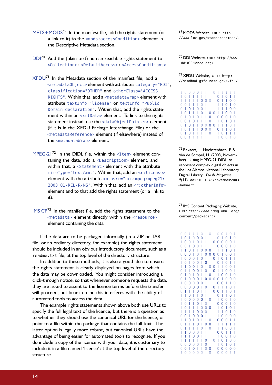- METS+MODS<sup>[69](#page-0-0)</sup> In the manifest file, add the rights statement (or a link to it) to the <mods:accessCondition> element in the Descriptive Metadata section.
- DDI<sup>[70](#page-13-0)</sup> Add the (plain text) human readable rights statement to <Collection> › <DefaultAccess> › <AccessConditions>.
- $XFDU^{71}$  $XFDU^{71}$  $XFDU^{71}$  In the Metadata section of the manifest file, add a <metadataObject> element with attributes category="PDI", classification="OTHER" and otherClass="ACCESS RIGHTS". Within that, add a <metadataWrap> element with attribute textInfo="license" or textInfo="Public Domain declaration". Within that, add the rights statement within an <xmlData> element. To link to the rights statement instead, use the <dataObjectPointer> element (if it is in the XFDU Package Interchange File) or the <metadataReference> element (if elsewhere) instead of the <metadataWrap> element.
- MPEG-2 $1^{72}$  $1^{72}$  $1^{72}$  In the DIDL file, within the <I tem> element containing the data, add a <Description> element, and within that, a <Statement> element with the attribute mimeType="text/xml". Within that, add an <r:license> element with the attribute  $x$ mlns: r="urn:mpeg:mpeg21: 2003:01-REL-R-NS". Within that, add an <r:otherInfo> element and to that add the rights statement (or a link to it).
- IMS CP<sup>[73](#page-13-3)</sup> In the manifest file, add the rights statement to the <metadata> element directly within the <resource> element containing the data.

If the data are to be packaged informally (in a ZIP or TAR file, or an ordinary directory, for example) the rights statement should be included in an obvious introductory document, such as a readme.txt file, at the top level of the directory structure.

In addition to these methods, it is also a good idea to ensure the rights statement is clearly displayed on pages from which the data may be downloaded. You might consider introducing a click-through notice, so that whenever someone requests the data, they are asked to assent to the licence terms before the transfer will proceed, but bear in mind this interferes with the ability of automated tools to access the data.

The example rights statements shown above both use URLs to specify the full legal text of the licence, but there is a question as to whether they should use the canonical URL for the licence, or point to a file within the package that contains the full text. The latter option is legally more robust, but canonical URLs have the advantage of being easier for automated tools to recognise. If you do include a copy of the licence with your data, it is customary to include it in a file named 'license' at the top level of the directory structure.

69 MODS Website, URL: [http:](http://www.loc.gov/standards/mods/) [//www.loc.gov/standards/mods/](http://www.loc.gov/standards/mods/).

<span id="page-13-0"></span><sup>70</sup> DDI Website, URL: [http://www](http://www.ddialliance.org/) [.ddialliance.org/](http://www.ddialliance.org/).

<span id="page-13-1"></span>71 XFDU Website, URL: [http:](http://sindbad.gsfc.nasa.gov/xfdu/) [//sindbad.gsfc.nasa.gov/xfdu/](http://sindbad.gsfc.nasa.gov/xfdu/).

|                |                                                     |           |        |     |                                                     |     | 10000111011111                                                                                                                                                                                                                                                                                                                                                                                                                                            |       |                                                 |          |         |                  |              |
|----------------|-----------------------------------------------------|-----------|--------|-----|-----------------------------------------------------|-----|-----------------------------------------------------------------------------------------------------------------------------------------------------------------------------------------------------------------------------------------------------------------------------------------------------------------------------------------------------------------------------------------------------------------------------------------------------------|-------|-------------------------------------------------|----------|---------|------------------|--------------|
| I              | O                                                   | - 1       | ı      | - 1 | $\Box$                                              |     | - 1                                                                                                                                                                                                                                                                                                                                                                                                                                                       | - I O |                                                 | - 1      | - 0     | - 1              | $\mathbf{I}$ |
| I              | L                                                   | ı         | L      |     | $\begin{matrix} 1 & 0 \end{matrix}$                 | - 0 | -0                                                                                                                                                                                                                                                                                                                                                                                                                                                        |       |                                                 |          | - 1     | 0                | - 0          |
| 0              | $\Omega$                                            | - 1       |        | - 1 | $\overline{\phantom{0}}$ 0 $\overline{\phantom{0}}$ |     | $\Box$                                                                                                                                                                                                                                                                                                                                                                                                                                                    |       | $\Box$                                          |          | 0       | $\blacksquare$   | - 0          |
| 0              | - 1                                                 | 0         | - 1    | - 0 | $\overline{0}$ 1                                    |     | $\Box$                                                                                                                                                                                                                                                                                                                                                                                                                                                    |       |                                                 |          | $\pm 1$ | $\mathbf 0$      | - 0          |
| Т              | $\overline{\phantom{0}}$ 0 $\overline{\phantom{0}}$ |           | - 1    |     |                                                     |     | $\begin{array}{c c c c c c c} \hline \multicolumn{1}{c }{\textbf{1}} & \multicolumn{1}{c }{\textbf{0}} & \multicolumn{1}{c }{\textbf{0}} & \multicolumn{1}{c }{\textbf{1}} & \multicolumn{1}{c }{\textbf{1}} \\ \hline \multicolumn{1}{c }{\textbf{1}} & \multicolumn{1}{c }{\textbf{0}} & \multicolumn{1}{c }{\textbf{1}} & \multicolumn{1}{c }{\textbf{0}} & \multicolumn{1}{c }{\textbf{1}} & \multicolumn{1}{c }{\textbf{1}} \\ \hline \multicolumn{$ |       |                                                 |          | - 0     | - 0              | - 1          |
| 0              | $\pm$                                               | 0         | - 1    | - 0 | $\pm 1$                                             |     | $\begin{array}{c} 1 & 0 \end{array}$                                                                                                                                                                                                                                                                                                                                                                                                                      |       | 0                                               | 00       |         | $\overline{1}$ 0 |              |
|                |                                                     | $0$ 0 $1$ |        |     |                                                     |     | 0       0     0                                                                                                                                                                                                                                                                                                                                                                                                                                           |       |                                                 |          |         | - 0              | -1           |
| $\overline{0}$ | L                                                   |           |        |     |                                                     |     | 0110000                                                                                                                                                                                                                                                                                                                                                                                                                                                   |       |                                                 |          | 1110    |                  | - 1          |
| J.             | 01                                                  |           | $\Box$ |     |                                                     |     | 0001                                                                                                                                                                                                                                                                                                                                                                                                                                                      |       | 0 <sup>1</sup>                                  |          | ı       | - 0              | л.           |
| 0              | L                                                   | $\Omega$  | - 1    |     |                                                     |     |                                                                                                                                                                                                                                                                                                                                                                                                                                                           |       | $\begin{array}{c} \begin{array}{c} \end{array}$ |          |         | - 1              | - 1          |
| 0              | - 0                                                 |           |        |     |                                                     |     | .                                                                                                                                                                                                                                                                                                                                                                                                                                                         |       |                                                 | $\Omega$ | - 0     | Π,               | 0            |
|                |                                                     |           |        |     |                                                     |     |                                                                                                                                                                                                                                                                                                                                                                                                                                                           |       |                                                 |          |         |                  |              |

<span id="page-13-2"></span> Bekaert, J., Hochstenbach, P. & Van de Sompel, H. (2003, November). Using MPEG-21 DIDL to represent complex digital objects in the Los Alamos National Laboratory Digital Library. *D-Lib Magazine*, (11). [doi:10.1045/november2003](http://dx.doi.org/10.1045/november2003-bekaert) [-bekaert](http://dx.doi.org/10.1045/november2003-bekaert)

<span id="page-13-3"></span> IMS Content Packaging Website, URL: [http://www.imsglobal.org/](http://www.imsglobal.org/content/packaging/) [content/packaging/](http://www.imsglobal.org/content/packaging/).

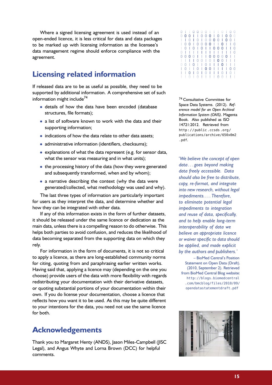Where a signed licensing agreement is used instead of an open-ended licence, it is less critical for data and data packages to be marked up with licensing information as the licensee's data management regime should enforce compliance with the agreement.

## **Licensing related information**

If released data are to be as useful as possible, they need to be supported by additional information. A comprehensive set of such information might include<sup>[74](#page-14-0)</sup>

- details of how the data have been encoded (database structures, file formats);
- a list of software known to work with the data and their supporting information;
- indications of how the data relate to other data assets;
- administrative information (identifiers, checksums);
- explanations of what the data represent (e.g. for sensor data, what the sensor was measuring and in what units);
- the processing history of the data (how they were generated and subsequently transformed, when and by whom);
- a narrative describing the context (why the data were generated/collected, what methodology was used and why).

The last three types of information are particularly important for users as they interpret the data, and determine whether and how they can be integrated with other data.

If any of this information exists in the form of further datasets, it should be released under the same licence or dedication as the main data, unless there is a compelling reason to do otherwise. This helps both parties to avoid confusion, and reduces the likelihood of data becoming separated from the supporting data on which they rely.

For information in the form of documents, it is not so critical to apply a licence, as there are long-established community norms for citing, quoting from and paraphrasing earlier written works. Having said that, applying a licence may (depending on the one you choose) provide users of the data with more flexibility with regards redistributing your documentation with their derivative datasets, or quoting substantial portions of your documentation within their own. If you do license your documentation, choose a licence that reflects how you want it to be used. As this may be quite different to your intentions for the data, you need not use the same licence for both.

## **Acknowledgements**

Thank you to Margaret Henty (ANDS), Jason Miles-Campbell (JISC Legal), and Angus Whyte and Lorna Brown (DCC) for helpful comments.

| 0 |                |          | $\begin{array}{ccc} & & 0 & 0 \end{array}$ |                |              |                  |                                                                                                                                                                                                                                                                                                                                                                                                                                                       |                |     |     | 00110100                         |     |
|---|----------------|----------|--------------------------------------------|----------------|--------------|------------------|-------------------------------------------------------------------------------------------------------------------------------------------------------------------------------------------------------------------------------------------------------------------------------------------------------------------------------------------------------------------------------------------------------------------------------------------------------|----------------|-----|-----|----------------------------------|-----|
| 0 | 00             |          | $\blacksquare$                             |                |              |                  |                                                                                                                                                                                                                                                                                                                                                                                                                                                       |                |     |     | 1000101000                       |     |
| ı | L              | $\theta$ | H                                          | - 0            |              |                  |                                                                                                                                                                                                                                                                                                                                                                                                                                                       |                |     |     | 100001001                        |     |
| T | 0 <sub>0</sub> |          | $\blacksquare$                             | $\overline{0}$ |              |                  |                                                                                                                                                                                                                                                                                                                                                                                                                                                       |                |     |     | 0001010                          |     |
| ı | 0 <sup>1</sup> |          | $\mathbf 0$                                |                |              |                  | $\begin{array}{c c c c c c} \hline \multicolumn{1}{c }{\textbf{1}} & \multicolumn{1}{c }{\textbf{0}} & \multicolumn{1}{c }{\textbf{0}} & \multicolumn{1}{c }{\textbf{0}} & \multicolumn{1}{c }{\textbf{1}} & \multicolumn{1}{c }{\textbf{0}} & \multicolumn{1}{c }{\textbf{0}} & \multicolumn{1}{c }{\textbf{1}} & \multicolumn{1}{c }{\textbf{0}} & \multicolumn{1}{c }{\textbf{0}} & \multicolumn{1}{c }{\textbf{1}} & \multicolumn{1}{c }{\textbf$ |                |     |     | - 10                             |     |
| 0 | -11            | 1        | $\sim 1$ .                                 |                |              |                  | .                                                                                                                                                                                                                                                                                                                                                                                                                                                     |                |     |     | $\begin{array}{c} \n\end{array}$ |     |
| 0 | 00             |          | - 0                                        |                |              | $11100$          |                                                                                                                                                                                                                                                                                                                                                                                                                                                       | 0 <sup>0</sup> |     | - 0 | οŤ.                              | - 1 |
| ۰ | - 1            | I        | $\blacksquare$                             | 0              |              |                  |                                                                                                                                                                                                                                                                                                                                                                                                                                                       |                |     |     | 0 1 0 1 0 0 1 1 1                |     |
| 0 | Ω              | - 1      | 0                                          |                |              |                  |                                                                                                                                                                                                                                                                                                                                                                                                                                                       |                |     |     | $\sim$ 1 $\sim$ 1                |     |
| ı | O              | - 1      | $\pm$                                      | $\Omega$       |              |                  |                                                                                                                                                                                                                                                                                                                                                                                                                                                       |                |     |     | 100111100                        |     |
|   | ı              | 0        |                                            | 0              | $\mathbf{I}$ | $\overline{0}$ 1 | - 1                                                                                                                                                                                                                                                                                                                                                                                                                                                   | - 1            | - 0 | I   | $0-1$                            |     |
|   |                | Ω        |                                            | Ω              | - 1          | $\mathbf{1}$     | т                                                                                                                                                                                                                                                                                                                                                                                                                                                     | Ω              | - 0 | - 1 | $\mathbf{L}$                     |     |
|   |                |          |                                            |                |              |                  |                                                                                                                                                                                                                                                                                                                                                                                                                                                       |                |     |     |                                  |     |

<span id="page-14-0"></span><sup>74</sup> Consultative Committee for Space Data Systems. (2012). *Reference model for an Open Archival Information System (OAIS)*. Magenta Book. Also published as ISO 14721:2012. Retrieved from [http://public .ccsds .org/](http://public.ccsds.org/publications/archive/650x0m2.pdf) [publications/archive/650x0m2](http://public.ccsds.org/publications/archive/650x0m2.pdf) [.pdf](http://public.ccsds.org/publications/archive/650x0m2.pdf).

*'We believe the concept of open data . . . goes beyond making data freely accessible. Data should also be free to distribute, copy, re-format, and integrate into new research, without legal impediments. . . . Therefore, to eliminate potential legal impediments to integration and reuse of data, specifically, and to help enable long-term interoperability of data we believe an appropriate licence or waiver specific to data should be applied, and made explicit by the authors and publishers.'*

– BioMed Central's Position Statement on Open Data (Draft). (2010, September 2). Retrieved from BioMed Central Blog website: [http://blogs.biomedcentral](http://blogs.biomedcentral.com/bmcblog/files/2010/09/opendatastatementdraft.pdf) [.com/bmcblog/files/2010/09/](http://blogs.biomedcentral.com/bmcblog/files/2010/09/opendatastatementdraft.pdf) [opendatastatementdraft.pdf](http://blogs.biomedcentral.com/bmcblog/files/2010/09/opendatastatementdraft.pdf)